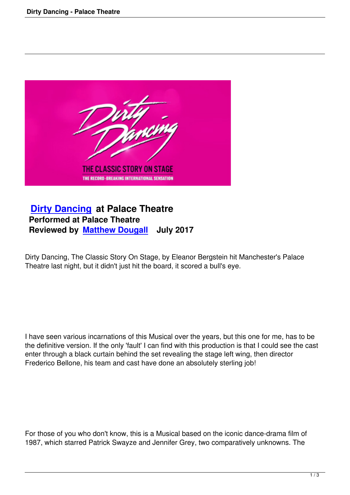

## **Dirty Dancing at Palace Theatre Performed at Palace Theatre [Reviewed by Ma](dirty-dancing-palace-theatre.html)tthew Dougall July 2017**

Dirty Dancing, Th[e Classic Story On Sta](writers.html#matthew-dougall)ge, by Eleanor Bergstein hit Manchester's Palace Theatre last night, but it didn't just hit the board, it scored a bull's eye.

I have seen various incarnations of this Musical over the years, but this one for me, has to be the definitive version. If the only 'fault' I can find with this production is that I could see the cast enter through a black curtain behind the set revealing the stage left wing, then director Frederico Bellone, his team and cast have done an absolutely sterling job!

For those of you who don't know, this is a Musical based on the iconic dance-drama film of 1987, which starred Patrick Swayze and Jennifer Grey, two comparatively unknowns. The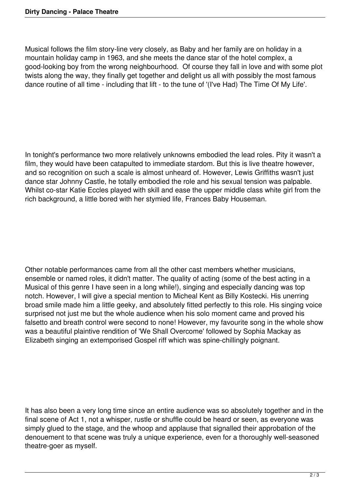Musical follows the film story-line very closely, as Baby and her family are on holiday in a mountain holiday camp in 1963, and she meets the dance star of the hotel complex, a good-looking boy from the wrong neighbourhood. Of course they fall in love and with some plot twists along the way, they finally get together and delight us all with possibly the most famous dance routine of all time - including that lift - to the tune of '(I've Had) The Time Of My Life'.

In tonight's performance two more relatively unknowns embodied the lead roles. Pity it wasn't a film, they would have been catapulted to immediate stardom. But this is live theatre however, and so recognition on such a scale is almost unheard of. However, Lewis Griffiths wasn't just dance star Johnny Castle, he totally embodied the role and his sexual tension was palpable. Whilst co-star Katie Eccles played with skill and ease the upper middle class white girl from the rich background, a little bored with her stymied life, Frances Baby Houseman.

Other notable performances came from all the other cast members whether musicians, ensemble or named roles, it didn't matter. The quality of acting (some of the best acting in a Musical of this genre I have seen in a long while!), singing and especially dancing was top notch. However, I will give a special mention to Micheal Kent as Billy Kostecki. His unerring broad smile made him a little geeky, and absolutely fitted perfectly to this role. His singing voice surprised not just me but the whole audience when his solo moment came and proved his falsetto and breath control were second to none! However, my favourite song in the whole show was a beautiful plaintive rendition of 'We Shall Overcome' followed by Sophia Mackay as Elizabeth singing an extemporised Gospel riff which was spine-chillingly poignant.

It has also been a very long time since an entire audience was so absolutely together and in the final scene of Act 1, not a whisper, rustle or shuffle could be heard or seen, as everyone was simply glued to the stage, and the whoop and applause that signalled their approbation of the denouement to that scene was truly a unique experience, even for a thoroughly well-seasoned theatre-goer as myself.